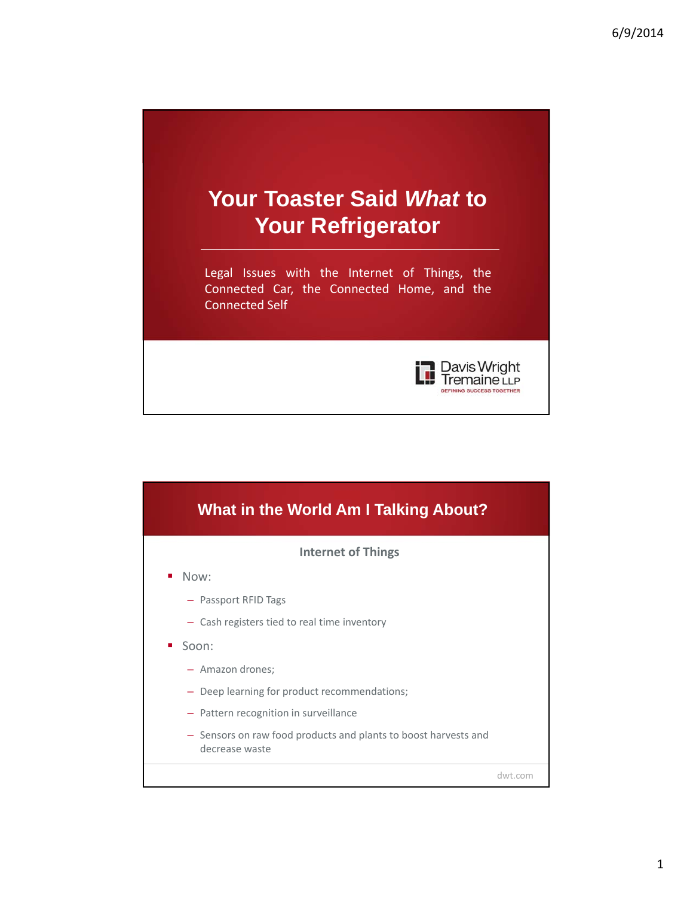



1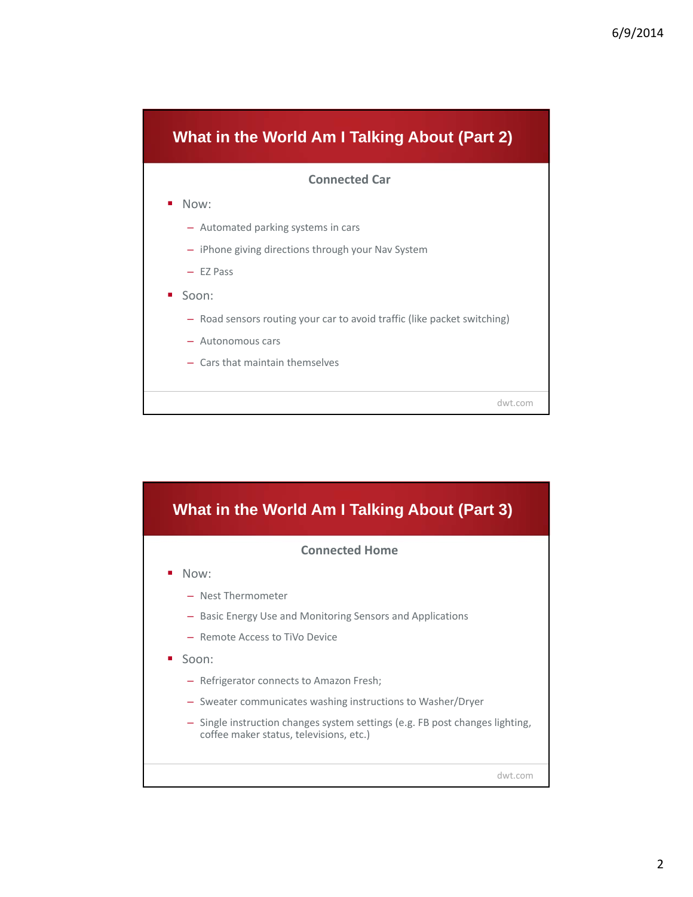

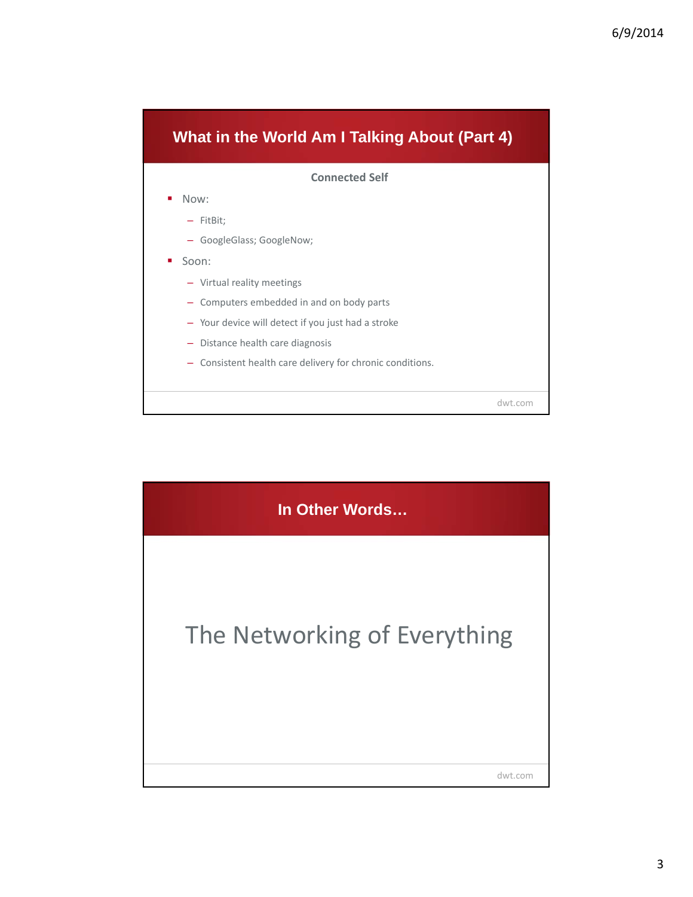

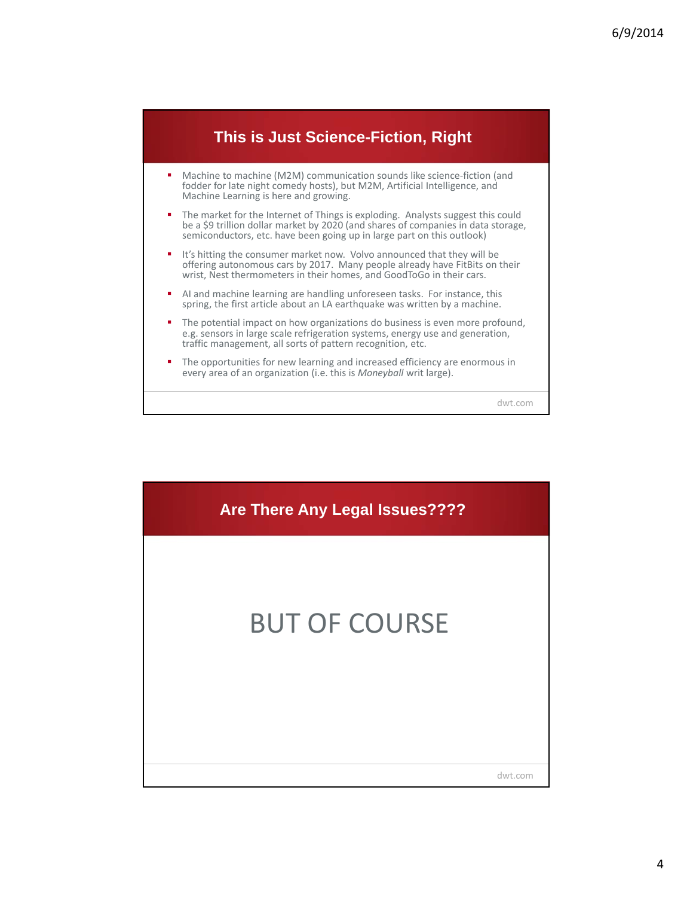

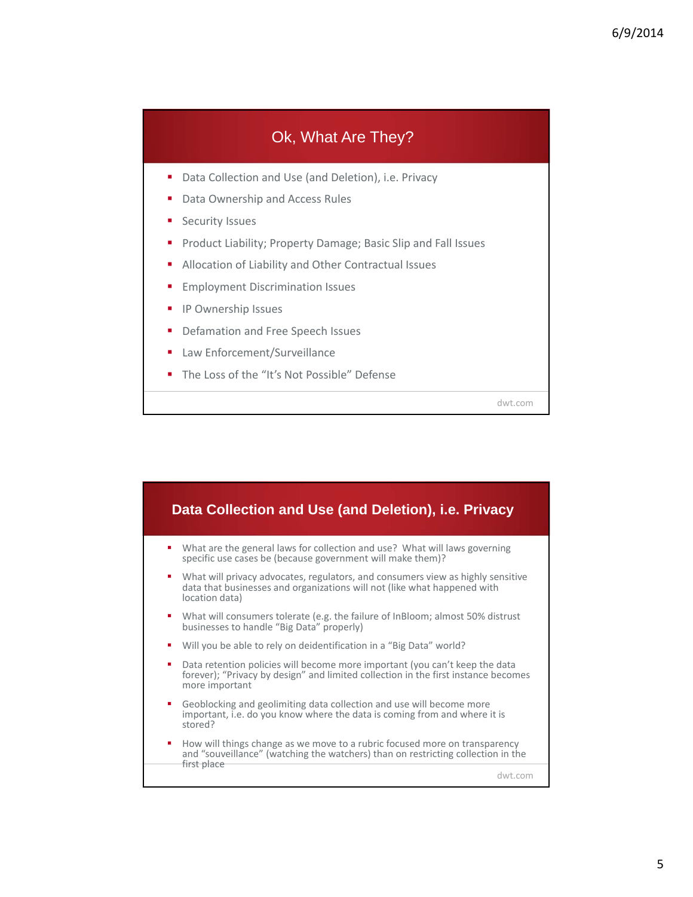

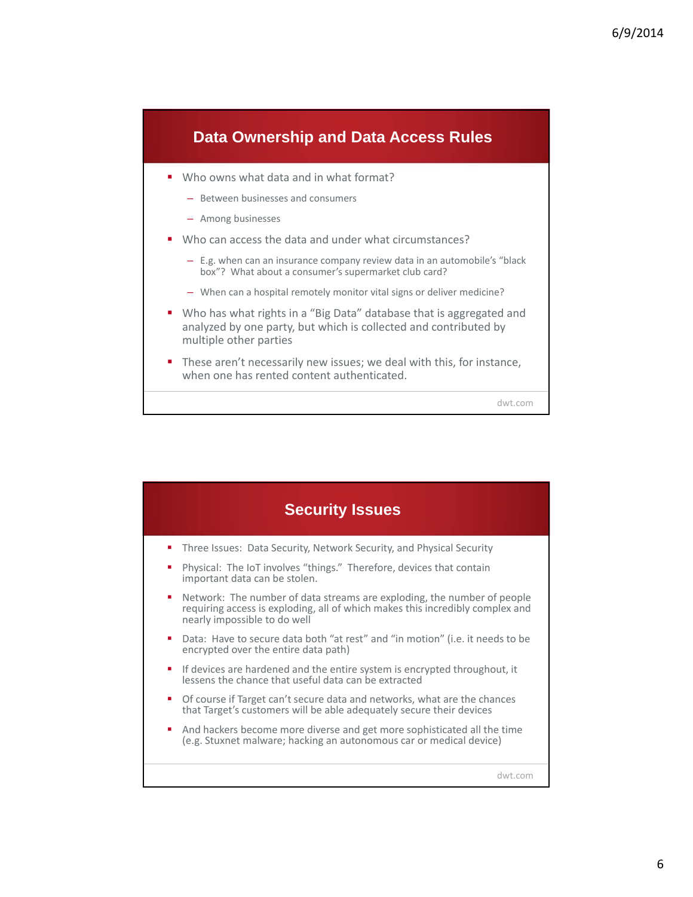

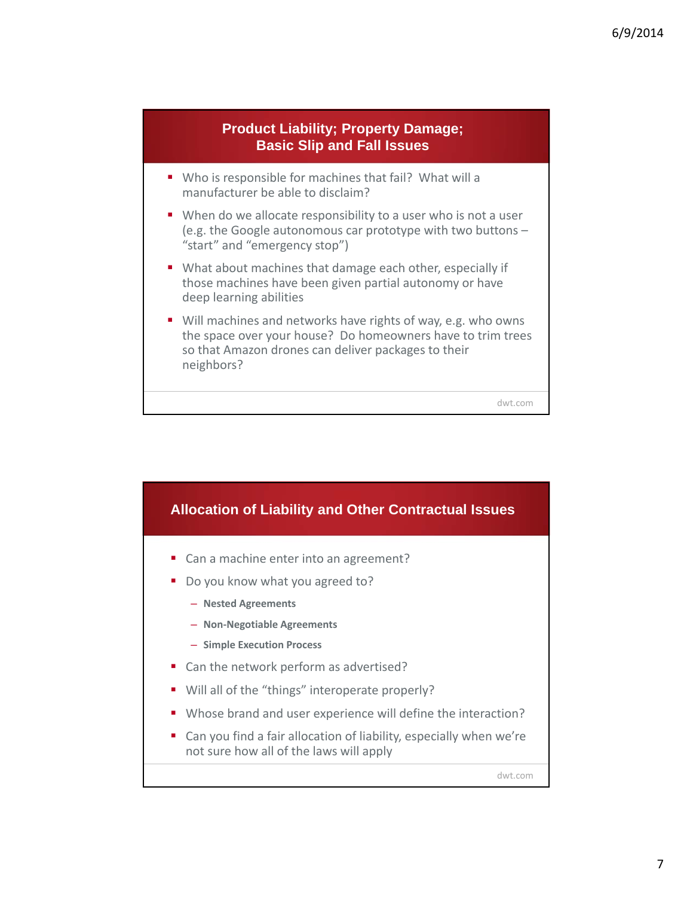



7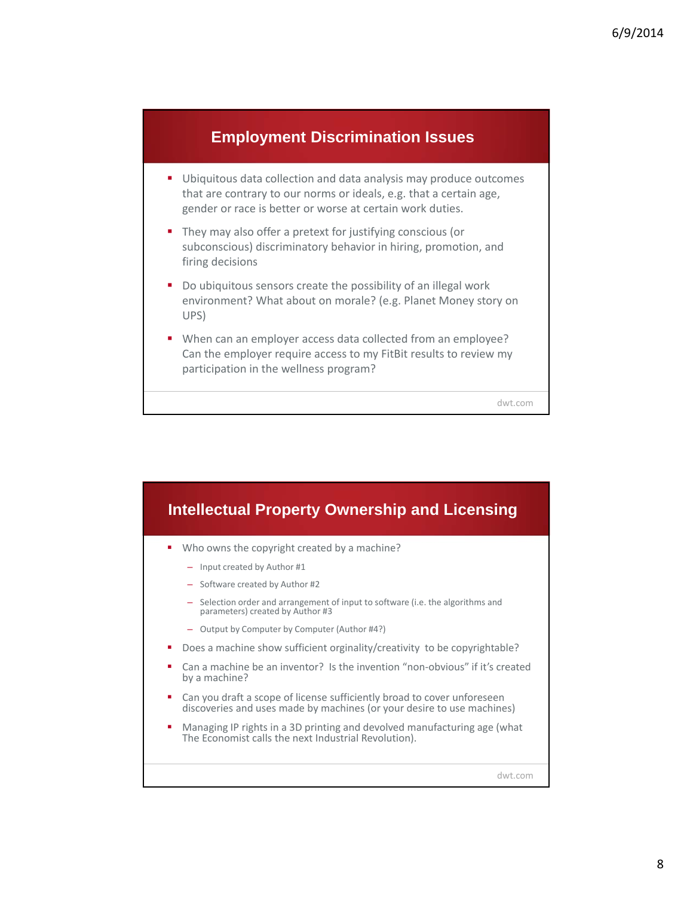

- Ubiquitous data collection and data analysis may produce outcomes that are contrary to our norms or ideals, e.g. that a certain age, gender or race is better or worse at certain work duties.
- They may also offer a pretext for justifying conscious (or subconscious) discriminatory behavior in hiring, promotion, and firing decisions
- Do ubiquitous sensors create the possibility of an illegal work environment? What about on morale? (e.g. Planet Money story on UPS)
- When can an employer access data collected from an employee? Can the employer require access to my FitBit results to review my participation in the wellness program?

dwt.com

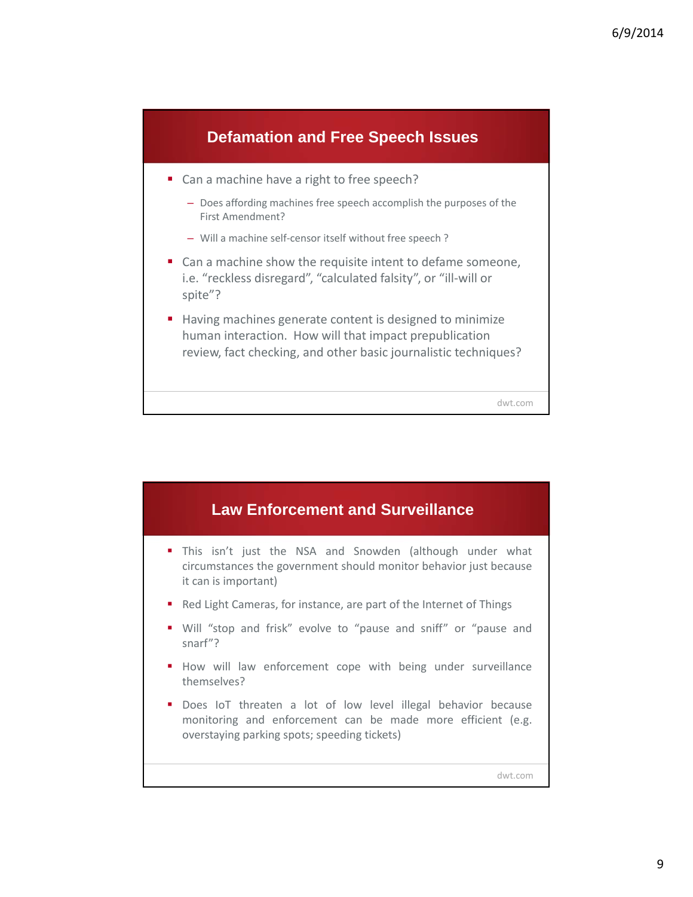

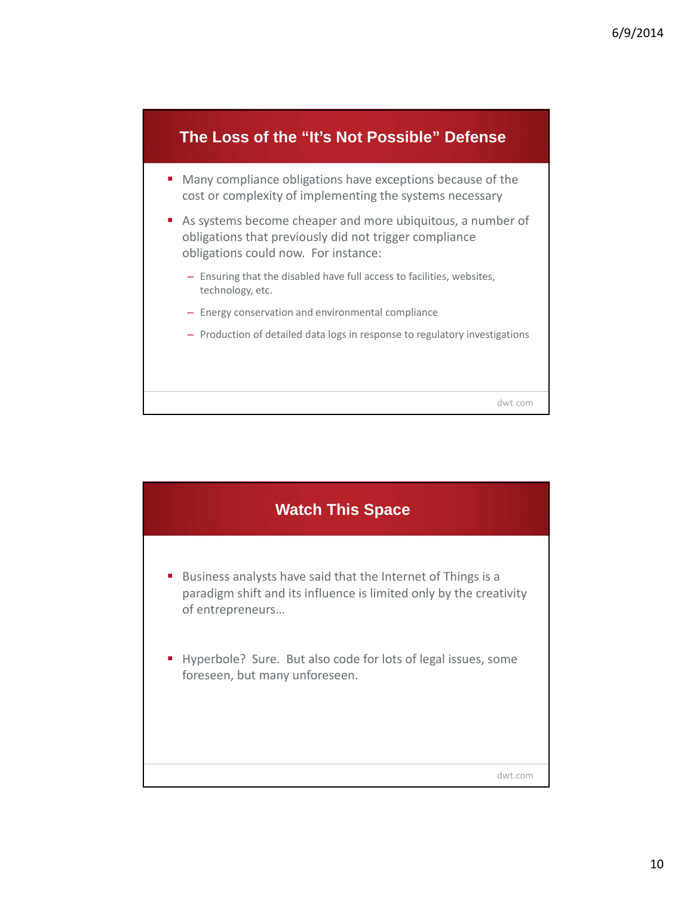